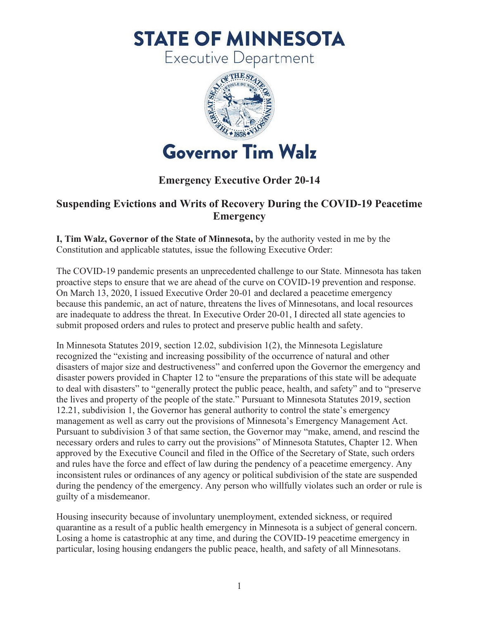**STATE OF MINNESOTA** 

**Executive Department** 



## **Emergency Executive Order 20-14**

## **Suspending Evictions and Writs of Recovery During the COVID-19 Peacetime Emergency**

**I, Tim Walz, Governor of the State of Minnesota,** by the authority vested in me by the Constitution and applicable statutes, issue the following Executive Order:

The COVID-19 pandemic presents an unprecedented challenge to our State. Minnesota has taken proactive steps to ensure that we are ahead of the curve on COVID-19 prevention and response. On March 13, 2020, I issued Executive Order 20-01 and declared a peacetime emergency because this pandemic, an act of nature, threatens the lives of Minnesotans, and local resources are inadequate to address the threat. In Executive Order 20-01, I directed all state agencies to submit proposed orders and rules to protect and preserve public health and safety.

In Minnesota Statutes 2019, section 12.02, subdivision 1(2), the Minnesota Legislature recognized the "existing and increasing possibility of the occurrence of natural and other disasters of major size and destructiveness" and conferred upon the Governor the emergency and disaster powers provided in Chapter 12 to "ensure the preparations of this state will be adequate to deal with disasters" to "generally protect the public peace, health, and safety" and to "preserve the lives and property of the people of the state." Pursuant to Minnesota Statutes 2019, section 12.21, subdivision 1, the Governor has general authority to control the state's emergency management as well as carry out the provisions of Minnesota's Emergency Management Act. Pursuant to subdivision 3 of that same section, the Governor may "make, amend, and rescind the necessary orders and rules to carry out the provisions" of Minnesota Statutes, Chapter 12. When approved by the Executive Council and filed in the Office of the Secretary of State, such orders and rules have the force and effect of law during the pendency of a peacetime emergency. Any inconsistent rules or ordinances of any agency or political subdivision of the state are suspended during the pendency of the emergency. Any person who willfully violates such an order or rule is guilty of a misdemeanor.

Housing insecurity because of involuntary unemployment, extended sickness, or required quarantine as a result of a public health emergency in Minnesota is a subject of general concern. Losing a home is catastrophic at any time, and during the COVID-19 peacetime emergency in particular, losing housing endangers the public peace, health, and safety of all Minnesotans.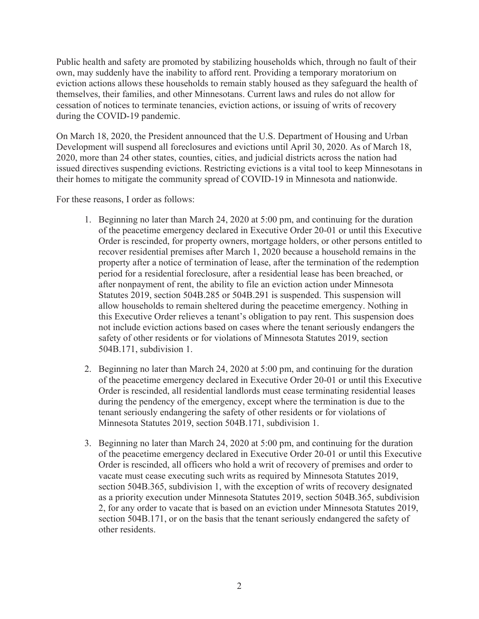Public health and safety are promoted by stabilizing households which, through no fault of their own, may suddenly have the inability to afford rent. Providing a temporary moratorium on eviction actions allows these households to remain stably housed as they safeguard the health of themselves, their families, and other Minnesotans. Current laws and rules do not allow for cessation of notices to terminate tenancies, eviction actions, or issuing of writs of recovery during the COVID-19 pandemic.

On March 18, 2020, the President announced that the U.S. Department of Housing and Urban Development will suspend all foreclosures and evictions until April 30, 2020. As of March 18, 2020, more than 24 other states, counties, cities, and judicial districts across the nation had issued directives suspending evictions. Restricting evictions is a vital tool to keep Minnesotans in their homes to mitigate the community spread of COVID-19 in Minnesota and nationwide.

For these reasons, I order as follows:

- 1. Beginning no later than March 24, 2020 at 5:00 pm, and continuing for the duration of the peacetime emergency declared in Executive Order 20-01 or until this Executive Order is rescinded, for property owners, mortgage holders, or other persons entitled to recover residential premises after March 1, 2020 because a household remains in the property after a notice of termination of lease, after the termination of the redemption period for a residential foreclosure, after a residential lease has been breached, or after nonpayment of rent, the ability to file an eviction action under Minnesota Statutes 2019, section 504B.285 or 504B.291 is suspended. This suspension will allow households to remain sheltered during the peacetime emergency. Nothing in this Executive Order relieves a tenant's obligation to pay rent. This suspension does not include eviction actions based on cases where the tenant seriously endangers the safety of other residents or for violations of Minnesota Statutes 2019, section 504B.171, subdivision 1.
- 2. Beginning no later than March 24, 2020 at 5:00 pm, and continuing for the duration of the peacetime emergency declared in Executive Order 20-01 or until this Executive Order is rescinded, all residential landlords must cease terminating residential leases during the pendency of the emergency, except where the termination is due to the tenant seriously endangering the safety of other residents or for violations of Minnesota Statutes 2019, section 504B.171, subdivision 1.
- 3. Beginning no later than March 24, 2020 at 5:00 pm, and continuing for the duration of the peacetime emergency declared in Executive Order 20-01 or until this Executive Order is rescinded, all officers who hold a writ of recovery of premises and order to vacate must cease executing such writs as required by Minnesota Statutes 2019, section 504B.365, subdivision 1, with the exception of writs of recovery designated as a priority execution under Minnesota Statutes 2019, section 504B.365, subdivision 2, for any order to vacate that is based on an eviction under Minnesota Statutes 2019, section 504B.171, or on the basis that the tenant seriously endangered the safety of other residents.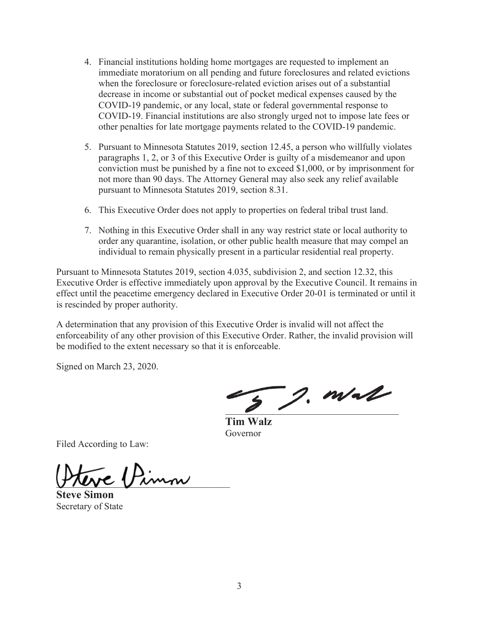- 4. Financial institutions holding home mortgages are requested to implement an immediate moratorium on all pending and future foreclosures and related evictions when the foreclosure or foreclosure-related eviction arises out of a substantial decrease in income or substantial out of pocket medical expenses caused by the COVID-19 pandemic, or any local, state or federal governmental response to COVID-19. Financial institutions are also strongly urged not to impose late fees or other penalties for late mortgage payments related to the COVID-19 pandemic.
- 5. Pursuant to Minnesota Statutes 2019, section 12.45, a person who willfully violates paragraphs 1, 2, or 3 of this Executive Order is guilty of a misdemeanor and upon conviction must be punished by a fine not to exceed \$1,000, or by imprisonment for not more than 90 days. The Attorney General may also seek any relief available pursuant to Minnesota Statutes 2019, section 8.31.
- 6. This Executive Order does not apply to properties on federal tribal trust land.
- 7. Nothing in this Executive Order shall in any way restrict state or local authority to order any quarantine, isolation, or other public health measure that may compel an individual to remain physically present in a particular residential real property.

Pursuant to Minnesota Statutes 2019, section 4.035, subdivision 2, and section 12.32, this Executive Order is effective immediately upon approval by the Executive Council. It remains in effect until the peacetime emergency declared in Executive Order 20-01 is terminated or until it is rescinded by proper authority.

A determination that any provision of this Executive Order is invalid will not affect the enforceability of any other provision of this Executive Order. Rather, the invalid provision will be modified to the extent necessary so that it is enforceable.

Signed on March 23, 2020.

 $\overline{z}$  2. m/a/

**Tim Walz**  Governor

Filed According to Law:

\_\_\_\_\_\_\_\_\_\_\_\_\_\_\_\_\_\_\_\_\_\_\_\_\_\_\_\_\_\_\_\_\_\_\_\_\_

**Steve Simon**  Secretary of State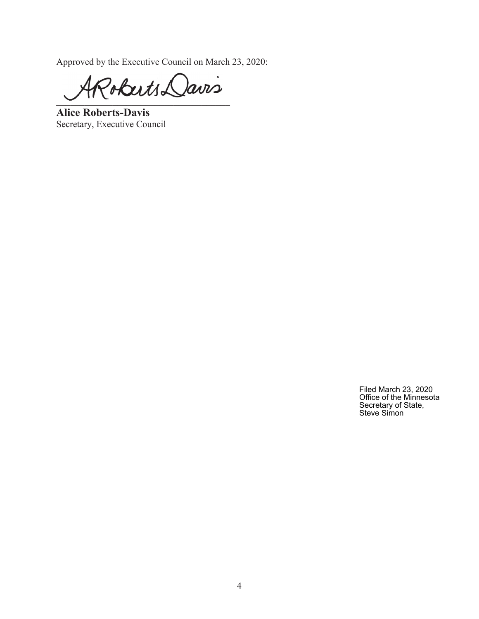Approved by the Executive Council on March 23, 2020:

Pobuts Davis

**Alice Roberts-Davis**  Secretary, Executive Council

Filed March 23, 2020 Office of the Minnesota Secretary of State, Steve Simon